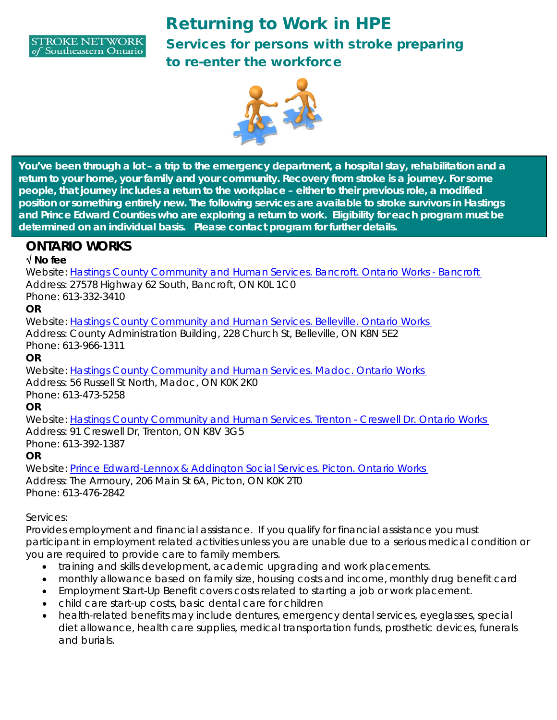

# Returning to Work in HPE Services for persons with stroke preparing to re-enter the workforce



**You've been through a lot – a trip to the emergency department, a hospital stay, rehabilitation and a return to your home, your family and your community. Recovery from stroke is a journey. For some people, that journey includes a return to the workplace – either to their previous role, a modified position or something entirely new. The following services are available to stroke survivors in Hastings and Prince Edward Counties who are exploring a return to work. Eligibility for each program must be determined on an individual basis. Please contact program for further details.**

### **ONTARIO WORKS**

#### √ **No fee**

Website: Hastings County Community and Human Services. Bancroft. Ontario Works - Bancroft Address: 27578 Highway 62 South, Bancroft, ON K0L 1C0

Phone: 613-332-3410

#### **OR**

Website: Hastings County Community and Human Services. Belleville. Ontario Works Address: County Administration Building, 228 Church St, Belleville, ON K8N 5E2 Phone: 613-966-1311

**OR**

Website: Hastings County Community and Human Services. Madoc. Ontario Works Address: 56 Russell St North, Madoc, ON K0K 2K0

Phone: 613-473-5258

**OR**

Website: Hastings County Community and Human Services. Trenton - Creswell Dr. Ontario Works Address: 91 Creswell Dr, Trenton, ON K8V 3G5 Phone: 613-392-1387

#### **OR**

Website: Prince Edward-Lennox & Addington Social Services. Picton. Ontario Works Address: The Armoury, 206 Main St 6A, Picton, ON K0K 2T0 Phone: 613-476-2842

Services:

Provides employment and financial assistance. If you qualify for financial assistance you must participant in employment related activities unless you are unable due to a serious medical condition or you are required to provide care to family members.

- training and skills development, academic upgrading and work placements.
- monthly allowance based on family size, housing costs and income, monthly drug benefit card
- Employment Start-Up Benefit covers costs related to starting a job or work placement.
- child care start-up costs, basic dental care for children
- health-related benefits may include dentures, emergency dental services, eyeglasses, special diet allowance, health care supplies, medical transportation funds, prosthetic devices, funerals and burials.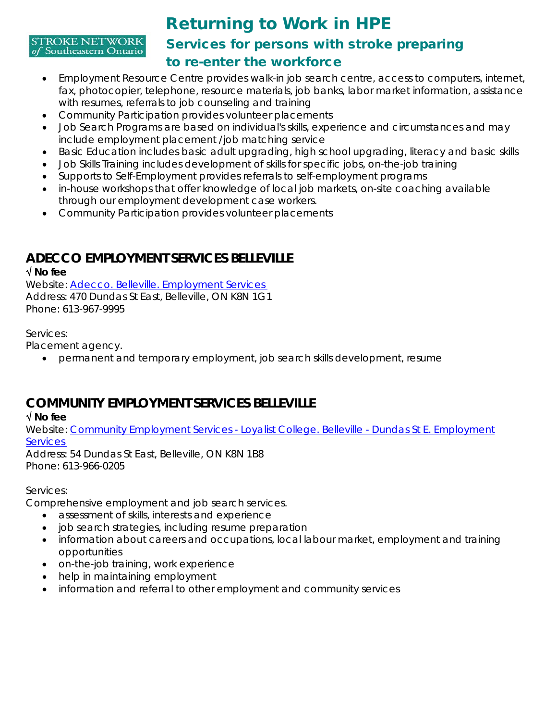#### **STROKE NETWORK** of Southeastern Ontario

## Returning to Work in HPE Services for persons with stroke preparing to re-enter the workforce

- Employment Resource Centre provides walk-in job search centre, access to computers, internet, fax, photocopier, telephone, resource materials, job banks, labor market information, assistance with resumes, referrals to job counseling and training
- Community Participation provides volunteer placements
- Job Search Programs are based on individual's skills, experience and circumstances and may include employment placement /job matching service
- Basic Education includes basic adult upgrading, high school upgrading, literacy and basic skills
- Job Skills Training includes development of skills for specific jobs, on-the-job training
- Supports to Self-Employment provides referrals to self-employment programs
- in-house workshops that offer knowledge of local job markets, on-site coaching available through our employment development case workers.
- Community Participation provides volunteer placements

## **ADECCO EMPLOYMENT SERVICES BELLEVILLE**

#### √ **No fee**

Website: Adecco. Belleville. Employment Services Address: 470 Dundas St East, Belleville, ON K8N 1G1 Phone: 613-967-9995

#### Services:

Placement agency.

• permanent and temporary employment, job search skills development, resume

## **COMMUNITY EMPLOYMENT SERVICES BELLEVILLE**

#### √ **No fee**

Website: Community Employment Services - Loyalist College. Belleville - Dundas St E. Employment **Services** 

Address: 54 Dundas St East, Belleville, ON K8N 1B8 Phone: 613-966-0205

#### Services:

Comprehensive employment and job search services.

- assessment of skills, interests and experience
- job search strategies, including resume preparation
- information about careers and occupations, local labour market, employment and training opportunities
- on-the-job training, work experience
- help in maintaining employment
- information and referral to other employment and community services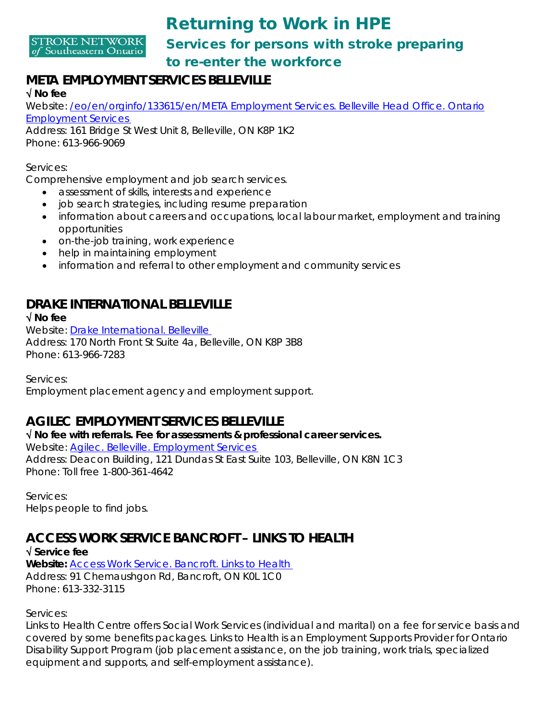

## Returning to Work in HPE Services for persons with stroke preparing to re-enter the workforce

### **META EMPLOYMENT SERVICES BELLEVILLE**

#### √ **No fee**

Website: /eo/en/orginfo/133615/en/META Employment Services. Belleville Head Office. Ontario Employment Services

Address: 161 Bridge St West Unit 8, Belleville, ON K8P 1K2 Phone: 613-966-9069

Services:

Comprehensive employment and job search services.

- assessment of skills, interests and experience
- job search strategies, including resume preparation
- information about careers and occupations, local labour market, employment and training opportunities
- on-the-job training, work experience
- help in maintaining employment
- information and referral to other employment and community services

## **DRAKE INTERNATIONAL BELLEVILLE**

√ **No fee**

Website: Drake International. Belleville Address: 170 North Front St Suite 4a, Belleville, ON K8P 3B8 Phone: 613-966-7283

Services:

Employment placement agency and employment support.

### **AGILEC EMPLOYMENT SERVICES BELLEVILLE**

√ **No fee with referrals. Fee for assessments & professional career services.** Website: Agilec. Belleville. Employment Services Address: Deacon Building, 121 Dundas St East Suite 103, Belleville, ON K8N 1C3 Phone: Toll free 1-800-361-4642

Services: Helps people to find jobs.

## **ACCESS WORK SERVICE BANCROFT – LINKS TO HEALTH**

√ **Service fee Website:** Access Work Service. Bancroft. Links to Health Address: 91 Chemaushgon Rd, Bancroft, ON K0L 1C0 Phone: 613-332-3115

Services:

Links to Health Centre offers Social Work Services (individual and marital) on a fee for service basis and covered by some benefits packages. Links to Health is an Employment Supports Provider for Ontario Disability Support Program (job placement assistance, on the job training, work trials, specialized equipment and supports, and self-employment assistance).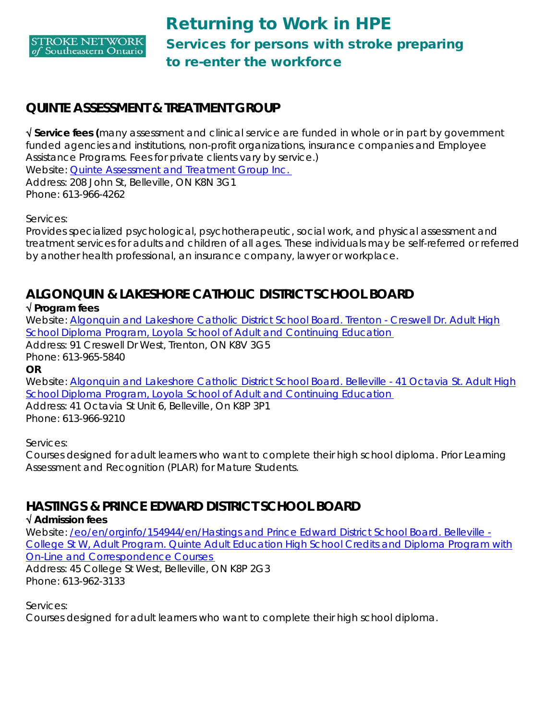

### **QUINTE ASSESSMENT & TREATMENT GROUP**

√ **Service fees (**many assessment and clinical service are funded in whole or in part by government funded agencies and institutions, non-profit organizations, insurance companies and Employee Assistance Programs. Fees for private clients vary by service.) Website: Quinte Assessment and Treatment Group Inc. Address: 208 John St, Belleville, ON K8N 3G1 Phone: 613-966-4262

Services:

Provides specialized psychological, psychotherapeutic, social work, and physical assessment and treatment services for adults and children of all ages. These individuals may be self-referred or referred by another health professional, an insurance company, lawyer or workplace.

### **ALGONQUIN & LAKESHORE CATHOLIC DISTRICT SCHOOL BOARD**

√ **Program fees**

Website: Algonquin and Lakeshore Catholic District School Board. Trenton - Creswell Dr. Adult High School Diploma Program, Loyola School of Adult and Continuing Education Address: 91 Creswell Dr West, Trenton, ON K8V 3G5 Phone: 613-965-5840 **OR**

Website: Algonquin and Lakeshore Catholic District School Board. Belleville - 41 Octavia St. Adult High School Diploma Program, Loyola School of Adult and Continuing Education

Address: 41 Octavia St Unit 6, Belleville, On K8P 3P1 Phone: 613-966-9210

Services:

Courses designed for adult learners who want to complete their high school diploma. Prior Learning Assessment and Recognition (PLAR) for Mature Students.

### **HASTINGS & PRINCE EDWARD DISTRICT SCHOOL BOARD**

#### √ **Admission fees**

Website: /eo/en/orginfo/154944/en/Hastings and Prince Edward District School Board. Belleville - College St W, Adult Program. Quinte Adult Education High School Credits and Diploma Program with On-Line and Correspondence Courses Address: 45 College St West, Belleville, ON K8P 2G3

Phone: 613-962-3133

Services:

Courses designed for adult learners who want to complete their high school diploma.